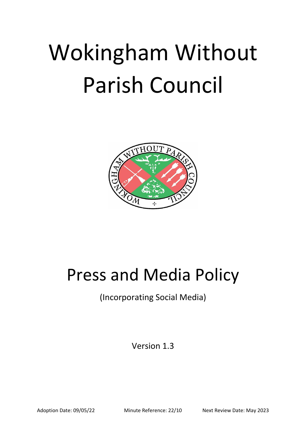# Wokingham Without Parish Council



# Press and Media Policy

(Incorporating Social Media)

Version 1.3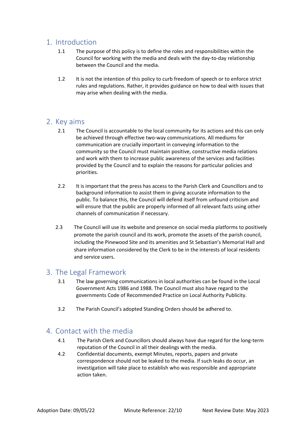# 1. Introduction

- 1.1 The purpose of this policy is to define the roles and responsibilities within the Council for working with the media and deals with the day-to-day relationship between the Council and the media.
- 1.2 It is not the intention of this policy to curb freedom of speech or to enforce strict rules and regulations. Rather, it provides guidance on how to deal with issues that may arise when dealing with the media.

### 2. Key aims

- 2.1 The Council is accountable to the local community for its actions and this can only be achieved through effective two-way communications. All mediums for communication are crucially important in conveying information to the community so the Council must maintain positive, constructive media relations and work with them to increase public awareness of the services and facilities provided by the Council and to explain the reasons for particular policies and priorities.
- 2.2 It is important that the press has access to the Parish Clerk and Councillors and to background information to assist them in giving accurate information to the public. To balance this, the Council will defend itself from unfound criticism and will ensure that the public are properly informed of all relevant facts using other channels of communication if necessary.
- 2.3 The Council will use its website and presence on social media platforms to positively promote the parish council and its work, promote the assets of the parish council, including the Pinewood Site and its amenities and St Sebastian's Memorial Hall and share information considered by the Clerk to be in the interests of local residents and service users.

# 3. The Legal Framework

- 3.1 The law governing communications in local authorities can be found in the Local Government Acts 1986 and 1988. The Council must also have regard to the governments Code of Recommended Practice on Local Authority Publicity.
- 3.2 The Parish Council's adopted Standing Orders should be adhered to.

# 4. Contact with the media

- 4.1 The Parish Clerk and Councillors should always have due regard for the long-term reputation of the Council in all their dealings with the media.
- 4.2 Confidential documents, exempt Minutes, reports, papers and private correspondence should not be leaked to the media. If such leaks do occur, an investigation will take place to establish who was responsible and appropriate action taken.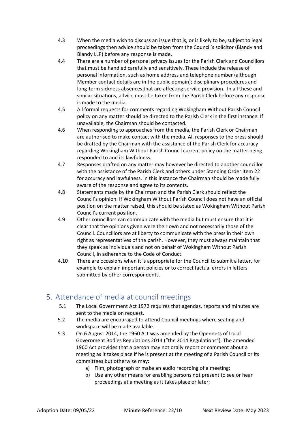- 4.3 When the media wish to discuss an issue that is, or is likely to be, subject to legal proceedings then advice should be taken from the Council's solicitor (Blandy and Blandy LLP) before any response is made.
- 4.4 There are a number of personal privacy issues for the Parish Clerk and Councillors that must be handled carefully and sensitively. These include the release of personal information, such as home address and telephone number (although Member contact details are in the public domain); disciplinary procedures and long-term sickness absences that are affecting service provision. In all these and similar situations, advice must be taken from the Parish Clerk before any response is made to the media.
- 4.5 All formal requests for comments regarding Wokingham Without Parish Council policy on any matter should be directed to the Parish Clerk in the first instance. If unavailable, the Chairman should be contacted.
- 4.6 When responding to approaches from the media, the Parish Clerk or Chairman are authorised to make contact with the media. All responses to the press should be drafted by the Chairman with the assistance of the Parish Clerk for accuracy regarding Wokingham Without Parish Council current policy on the matter being responded to and its lawfulness.
- 4.7 Responses drafted on any matter may however be directed to another councillor with the assistance of the Parish Clerk and others under Standing Order item 22 for accuracy and lawfulness. In this instance the Chairman should be made fully aware of the response and agree to its contents.
- 4.8 Statements made by the Chairman and the Parish Clerk should reflect the Council's opinion. If Wokingham Without Parish Council does not have an official position on the matter raised, this should be stated as Wokingham Without Parish Council's current position.
- 4.9 Other councillors can communicate with the media but must ensure that it is clear that the opinions given were their own and not necessarily those of the Council. Councillors are at liberty to communicate with the press in their own right as representatives of the parish. However, they must always maintain that they speak as individuals and not on behalf of Wokingham Without Parish Council, in adherence to the Code of Conduct.
- 4.10 There are occasions when it is appropriate for the Council to submit a letter, for example to explain important policies or to correct factual errors in letters submitted by other correspondents.

# 5. Attendance of media at council meetings

- 5.1 The Local Government Act 1972 requires that agendas, reports and minutes are sent to the media on request.
- 5.2 The media are encouraged to attend Council meetings where seating and workspace will be made available.
- 5.3 On 6 August 2014, the 1960 Act was amended by the Openness of Local Government Bodies Regulations 2014 ("the 2014 Regulations"). The amended 1960 Act provides that a person may not orally report or comment about a meeting as it takes place if he is present at the meeting of a Parish Council or its committees but otherwise may:
	- a) Film, photograph or make an audio recording of a meeting;
	- b) Use any other means for enabling persons not present to see or hear proceedings at a meeting as it takes place or later;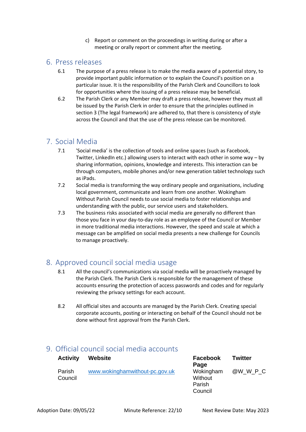c) Report or comment on the proceedings in writing during or after a meeting or orally report or comment after the meeting.

#### 6. Press releases

- 6.1 The purpose of a press release is to make the media aware of a potential story, to provide important public information or to explain the Council's position on a particular issue. It is the responsibility of the Parish Clerk and Councillors to look for opportunities where the issuing of a press release may be beneficial.
- 6.2 The Parish Clerk or any Member may draft a press release, however they must all be issued by the Parish Clerk in order to ensure that the principles outlined in section 3 (The legal framework) are adhered to, that there is consistency of style across the Council and that the use of the press release can be monitored.

# 7. Social Media

- 7.1 'Social media' is the collection of tools and online spaces (such as Facebook, Twitter, LinkedIn etc.) allowing users to interact with each other in some way – by sharing information, opinions, knowledge and interests. This interaction can be through computers, mobile phones and/or new generation tablet technology such as iPads.
- 7.2 Social media is transforming the way ordinary people and organisations, including local government, communicate and learn from one another. Wokingham Without Parish Council needs to use social media to foster relationships and understanding with the public, our service users and stakeholders.
- 7.3 The business risks associated with social media are generally no different than those you face in your day-to-day role as an employee of the Council or Member in more traditional media interactions. However, the speed and scale at which a message can be amplified on social media presents a new challenge for Councils to manage proactively.

# 8. Approved council social media usage

- 8.1 All the council's communications via social media will be proactively managed by the Parish Clerk. The Parish Clerk is responsible for the management of these accounts ensuring the protection of access passwords and codes and for regularly reviewing the privacy settings for each account.
- 8.2 All official sites and accounts are managed by the Parish Clerk. Creating special corporate accounts, posting or interacting on behalf of the Council should not be done without first approval from the Parish Clerk.

# 9. Official council social media accounts

| <b>Activity</b>   | <b>Website</b>                 | <b>Facebook</b><br>Page                   | <b>Twitter</b> |
|-------------------|--------------------------------|-------------------------------------------|----------------|
| Parish<br>Council | www.wokinghamwithout-pc.gov.uk | Wokingham<br>Without<br>Parish<br>Council | @W W P C       |